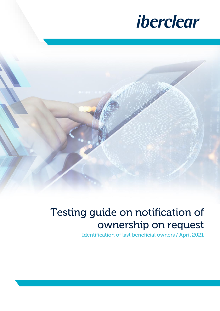

# Testing guide on notification of ownership on request

Identification of last beneficial owners / April 2021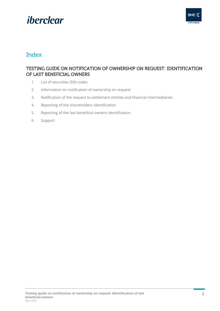## iberclear



## Index

### TESTING GUIDE ON NOTIFICATION OF OWNERSHIP ON REQUEST: IDENTIFICATION OF LAST BENEFICIAL OWNERS

- 1. [List of securities ISIN codes](#page-2-0)
- 2. [Information on notification of ownership on request](#page-2-1)
- 3. [Notification of the request to settlement entities and financial intermediaries](#page-3-0)
- 4. [Reporting of the shareholders identification](#page-3-1)
- 5. [Reporting of the last beneficial owners identification](#page-3-2)
- 6. [Support](#page-4-0)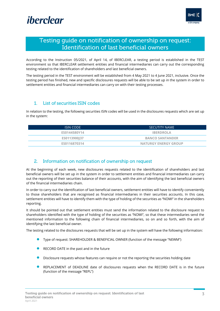

### Testing guide on notification of ownership on request: Identification of last beneficial owners

According to the Instruction 05/2021, of April 14, of IBERCLEAR, a testing period is established in the TEST environment so that IBERCLEAR settlement entities and financial intermediaries can carry out the corresponding testing related to the identification of shareholders and last beneficial owners.

The testing period in the TEST environment will be established from 4 May 2021 to 4 June 2021, inclusive. Once the testing period has finished, new and specific disclosures requests will be able to be set up in the system in order to settlement entities and financial intermediaries can carry on with their testing processes.

#### <span id="page-2-0"></span>List of securities ISIN codes  $1<sup>1</sup>$

In relation to the testing, the following securities ISIN codes will be used in the disclosures requests which are set up in the system:

| <b>ISIN CODE</b> | <b>SECUTITY NAME</b>        |  |  |
|------------------|-----------------------------|--|--|
| ES0144580Y14     | <b>IBERDROLA</b>            |  |  |
| ES0113900137     | <b>BANCO SANTANDER</b>      |  |  |
| ES0116870314     | <b>NATURGY ENERGY GROUP</b> |  |  |

#### <span id="page-2-1"></span>Information on notification of ownership on request  $2<sub>1</sub>$

At the beginning of each week, new disclosures requests related to the identification of shareholders and last beneficial owners will be set up in the system in order to settlement entities and financial intermediaries can carry out the reporting of their securities balance of their accounts, with the aim of identifying the last beneficial owners of the financial intermediaries chain.

In order to carry out the identification of last beneficial owners, settlement entities will have to identify conveniently to those shareholders that are recognised as financial intermediaries in their securities accounts. In this case, settlement entities will have to identify them with the type of holding of the securities as "NOMI" in the shareholders reporting.

It should be pointed out that settlement entities must send the information related to the disclosure request to shareholders identified with the type of holding of the securities as "NOMI", so that these intermediaries send the mentioned information to the following chain of financial intermediaries, so on and so forth, with the aim of identifying the last beneficial owner.

The testing related to the disclosures requests that will be set up in the system will have the following information:

- Type of request: SHAREHOLDER & <sup>B</sup>ENEFICIAL OWNER (function of the message "NEWM")
- RECORD DATE in the past and in the future
- Disclosure requests whose features can require or not the reporting the securities holding date
- REPLACEMENT of DEADLINE date of disclosures requests when the RECORD DATE is in the future (function of the message "REPL")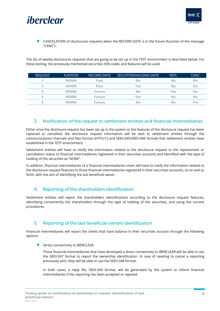

## iberclear

• CANCELATION of disclosures requests when the RECORD DATE is in the future (function of the message "CANC")

The list of weekly disclosures requests that are going to be set up in the TEST environment is described below. For these testing, the previously mentioned securities ISIN codes and features will be used.

| <b>REOUEST</b> | <b>FUNTION</b> | <b>RECORD DATE</b> | SECUTITIESHOLDING DATE | <b>REPL</b> | <b>CANC</b> |
|----------------|----------------|--------------------|------------------------|-------------|-------------|
|                | <b>NEWM</b>    | Past               | No                     | No          | No          |
| $\overline{2}$ | <b>NEWM</b>    | Past               | Yes                    | No          | No          |
| っ              | <b>NEWM</b>    | <b>Future</b>      | No                     | Yes         | No          |
| 4              | <b>NEWM</b>    | <b>Future</b>      | Yes                    | No          | No          |
| ц              | <b>NFWM</b>    | <b>Future</b>      | No                     | No          | Yes         |

#### <span id="page-3-0"></span> $\overline{3}$ . Notification of the request to settlement entities and financial intermediaries

Either once the disclosure request has been set up in the system or the features of the disclosure request has been replaced or cancelled, the disclosure request information will be sent to settlement entities through the communications channels and files format (HTITU12 and SEEV.045/SEEV.046 format) that settlement entities have established in the TEST environment.

Settlement entities will have to notify the information related to the disclosure request or the replacement or cancellation status to financial intermediaries registered in their securities accounts and identified with the type of holding of the securities as "NOMI".

In addition, financial intermediaries of a financial intermediaries chain will have to notify the information related to the disclosure request features to those financial intermediaries registered in their securities accounts, so on and so forth, with the aim of identifying the last beneficial owner.

#### <span id="page-3-1"></span> $\overline{4}$ . Reporting of the shareholders identification

Settlement entities will report the shareholders identifications according to the disclosure request features, identifying conveniently the shareholders through the type of holding of the securities, and using the current procedures.

#### <span id="page-3-2"></span>Reporting of the last beneficial owners identification  $5.$

Financial intermediaries will report the clients that have balance in their securities account through the following options:

• Direct connectivity to IBERCLEAR

Those financial intermediaries that have developed a direct connectivity to IBERCLEAR will be able to use the SEEV.047 format to report the ownership identification. In case of needing to cancel a reporting previously sent, they will be able to use the SEEV.048 format.

In both cases, a reply file, SEEV.049 format, will be generated by the system to inform financial intermediaries if the reporting has been accepted or rejected.